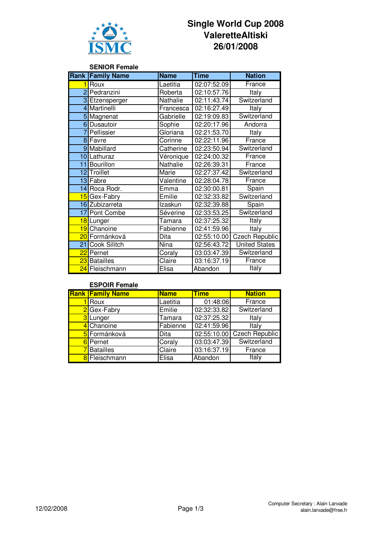

# **Single World Cup 2008 ValeretteAltiski 26/01/2008**

## **SENIOR Female**

|                 | <b>Rank Family Name</b>    | <b>Name</b> | <b>Time</b> | <b>Nation</b>  |
|-----------------|----------------------------|-------------|-------------|----------------|
| 1               | Roux                       | Laetitia    | 02:07:52.09 | France         |
|                 | 2 Pedranzini               | Roberta     | 02:10:57.76 | Italy          |
|                 | 3 Etzensperger             | Nathalie    | 02:11:43.74 | Switzerland    |
|                 | 4 Martinelli               | Francesca   | 02:16:27.49 | Italy          |
|                 | 5 Magnenat                 | Gabrielle   | 02:19:09.83 | Switzerland    |
|                 | 6 Dusautoir                | Sophie      | 02:20:17.96 | Andorra        |
| $\overline{7}$  | Pellissier                 | Gloriana    | 02:21:53.70 | Italy          |
|                 | 8 Favre                    | Corinne     | 02:22:11.96 | France         |
|                 | 9 Mabillard                | Catherine   | 02:23:50.94 | Switzerland    |
|                 | 10 Lathuraz                | Véronique   | 02:24:00.32 | France         |
|                 | 11 Bourillon               | Nathalie    | 02:26:39.31 | France         |
|                 | 12 Troillet                | Marie       | 02:27:37.42 | Switzerland    |
|                 | 13 Fabre                   | Valentine   | 02:28:04.78 | France         |
|                 | 14 Roca Rodr.              | Emma        | 02:30:00.81 | Spain          |
|                 | 15 Gex-Fabry               | Emilie      | 02:32:33.82 | Switzerland    |
|                 | 16 Zubizarreta             | Izaskun     | 02:32:39.88 | Spain          |
| 17 <sub>l</sub> | Pont Combe                 | Séverine    | 02:33:53.25 | Switzerland    |
|                 | 18 Lunger                  | Tamara      | 02:37:25.32 | Italy          |
| 19              | Chanoine                   | Fabienne    | 02:41:59.96 | Italy          |
|                 | <mark>20</mark> Formánková | Dita        | 02:55:10.00 | Czech Republic |
| 21              | Cook Silitch               | Nina        | 02:56:43.72 | United States  |
|                 | 22 Pernet                  | Coraly      | 03:03:47.39 | Switzerland    |
|                 | 23 Batailles               | Claire      | 03:16:37.19 | France         |
|                 | 24 Fleischmann             | Elisa       | Abandon     | Italy          |

#### **ESPOIR Female**

|                | <b>Rank Family Name</b> | <b>Name</b> | <b>Time</b> | <b>Nation</b>         |
|----------------|-------------------------|-------------|-------------|-----------------------|
|                | Roux                    | Laetitia    | 01:48:06    | France                |
|                | 2Gex-Fabry              | Emilie      | 02:32:33.82 | Switzerland           |
| 3 <sup>l</sup> | Lunger                  | Tamara      | 02:37:25.32 | Italy                 |
|                | 4 Chanoine              | Fabienne    | 02:41:59.96 | Italy                 |
|                | 5 Formánková            | Dita        | 02:55:10.00 | <b>Czech Republic</b> |
|                | 6 Pernet                | Coraly      | 03:03:47.39 | Switzerland           |
|                | 7Batailles              | Claire      | 03:16:37.19 | France                |
|                | 8 Fleischmann           | Elisa       | Abandon     | Italy                 |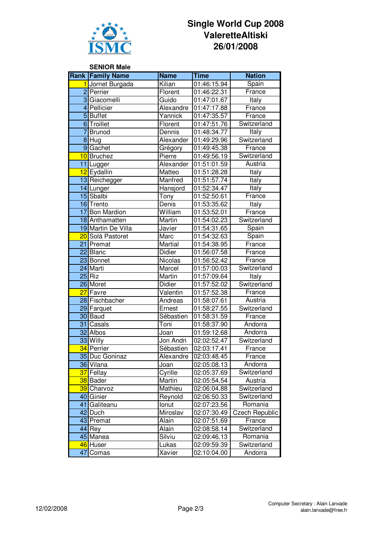

# **Single World Cup 2008 ValeretteAltiski 26/01/2008**

### **SENIOR Male Rank Family Name Name Time Nation** Jornet Burgada | Kilian | 01:46:15.94 | Spain 2 Perrier Florent 01:46:22.31 | France 3 Giacomelli Guido 01:47:01.67 Italy 4 Pellicier **Alexandre 01:47:17.88** France 5 Buffet **Yannick** 01:47:35.57 France 6 Troillet **Florent** 01:47:51.76 Switzerland 7 Brunod **Dennis** 01:48:34.77 Italy 8 Hug **Alexander 01:49:29.96** Switzerland 9 Gachet Grégory 01:49:45.38 France 10 Bruchez **Pierre** 01:49:56.19 Switzerland 11 Lugger Austria Alexander 01:51:01.59 Austria 12 Eydallin Matteo 01:51:28.28 Italy 13 Reichegger Manfred 01:51:57.74 Italy 14 Lunger | Hansjord | 01:52:34.47 | Italy 15 Sbalbi **Tony** 01:52:50.61 France 16 Trento Denis 01:53:35.62 Italy 17 Bon Mardion William 01:53:52.01 France 18 Anthamatten Martin | 01:54:02.23 | Switzerland 19 Martin De Villa | Javier | 01:54:31.65 | Spain 20 Solà Pastoret Marc  $\vert$  01:54:32.63 Spain 21 Premat Martial 01:54:38.95 France 22 Blanc Didier 01:56:07.58 France 23 Bonnet Nicolas 01:56:52.42 France 24 Marti Marcel 01:57:00.03 Switzerland 25 Riz Martin 01:57:09.64 Italy 26 Moret **Didier** 01:57:52.02 Switzerland 27 Favre **Valentin 01:57:52.38** France 28 Fischbacher **Andreas 101:58:07.61 | Austria** 29 Farquet **Ernest** 01:58:27.55 Switzerland 30 Baud Sébastien 01:58:31.59 France **31** Casals **Toni 101:58:37.90** Andorra 32 Albos Joan 01:59:12.68 Andorra **33** Willy **Jon Andri** 02:02:52.47 Switzerland 34 Perrier **Sébastien 02:03:17.41** France 35 Duc Goninaz | Alexandre | 02:03:48.45 | France 36 Vilana  $\vert$ Joan  $\vert$ 02:05:08.13 | Andorra 37 Fellay Cyrille 02:05:37.69 Switzerland **38** Bader Martin 02:05:54.54 Austria 39 Charvoz Mathieu 02:06:04.88 Switzerland 40 Ginier Reynold 02:06:50.33 Switzerland 41 Galiteanu 10010 | Ionut | 02:07:23.56 | Romania 42 Duch Miroslav 02:07:30.49 Czech Republic 43 Premat Alain 02:07:51.69 France 44 Rey **Alain** 02:08:58.14 Switzerland 45 Manea Silviu 02:09:46.13 Romania 46 Huser Lukas 02:09:59.39 Switzerland

47 Comas Xavier 02:10:04.00 Andorra